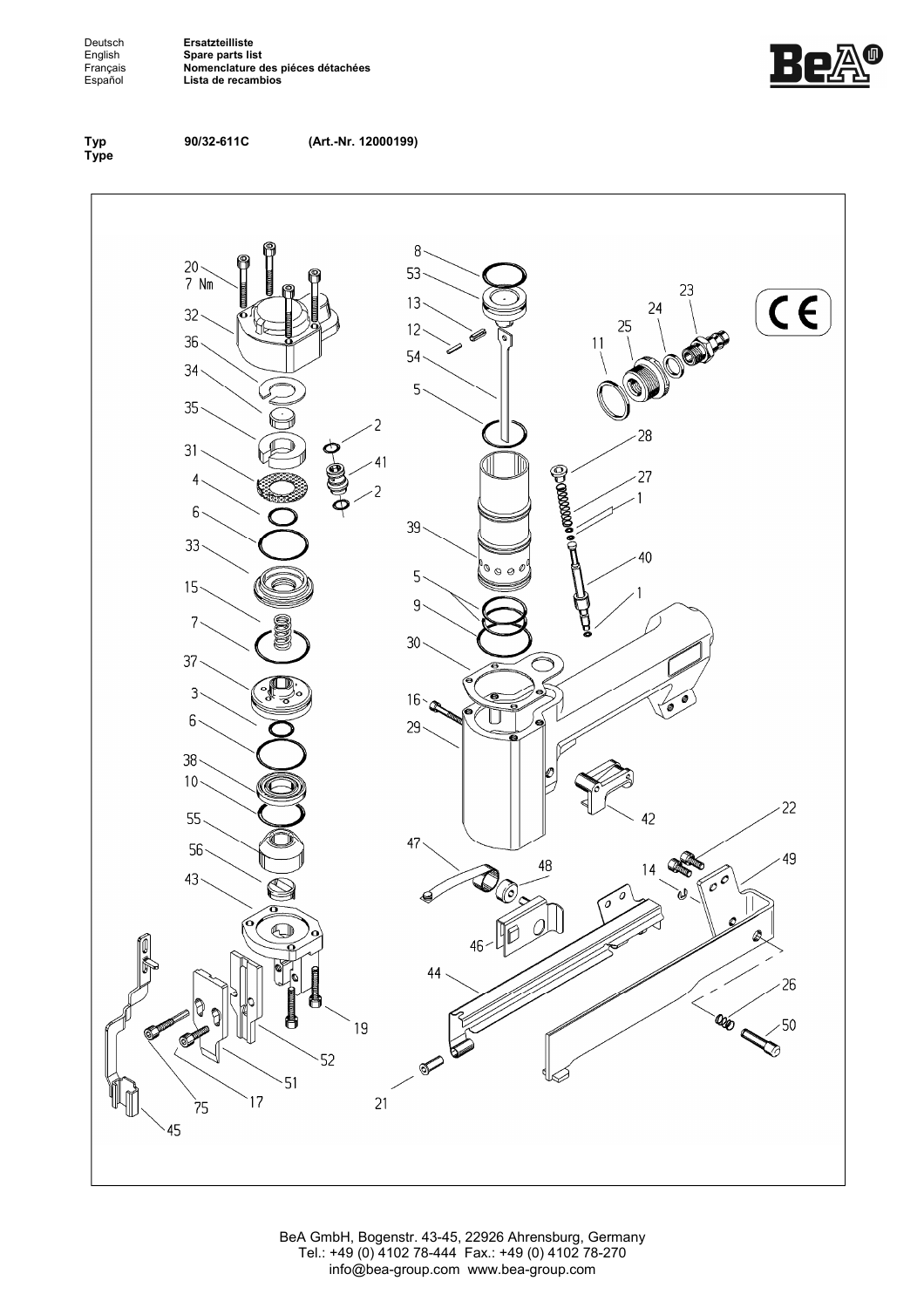Deutsch**ngendes Ersatzteilliste<br>
English Spare parts lis<br>
Français <b>Nomenclature**<br>
Español Lista de recan English **Spare parts list**  Français **Nomenclature des piéces détachées**  Español **Lista de recambios**





**90/32-611C (Art.-Nr. 12000199)**



BeA GmbH, Bogenstr. 43-45, 22926 Ahrensburg, Germany Tel.: +49 (0) 4102 78-444 Fax.: +49 (0) 4102 78-270 info@bea-group.com www.bea-group.com